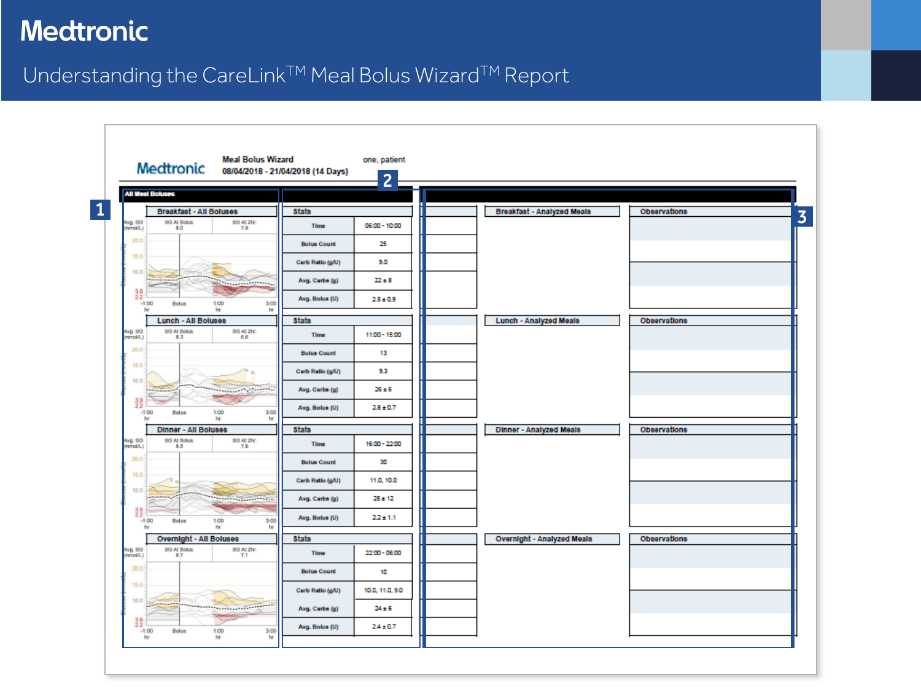#### Understanding the CareLink™ Meal Bolus Wizard™ Report

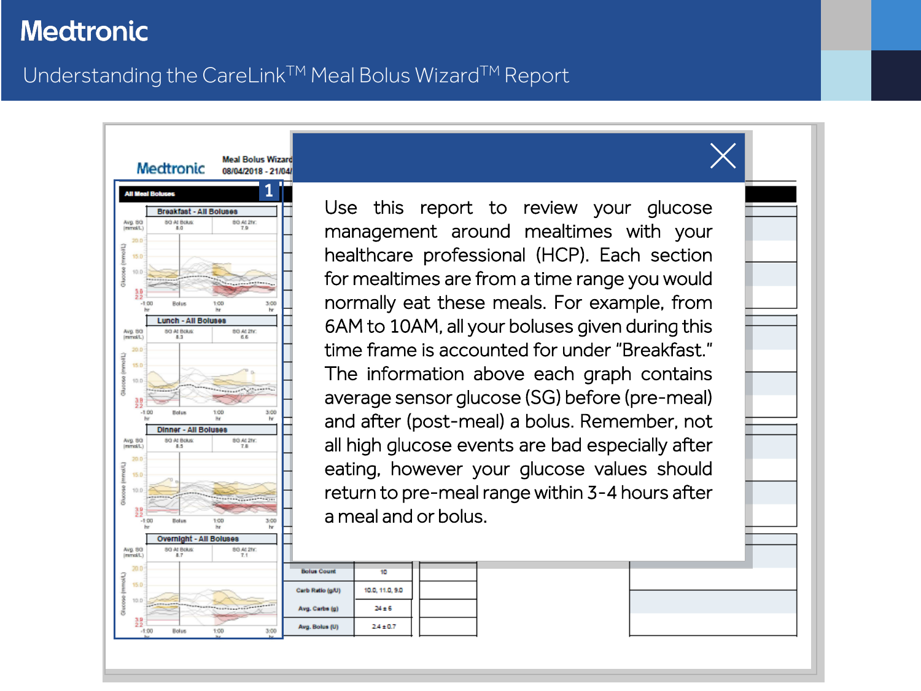#### <span id="page-1-0"></span>Understanding the CareLink™ Meal Bolus Wizard™ Report



Use this report to review your glucose management around mealtimes with your healthcare professional (HCP). Each section for mealtimes are from a time range you would normally eat these meals. For example, from 6AM to 10AM, all your boluses given during this time frame is accounted for under "Breakfast." The information above each graph contains average sensor glucose (SG) before (pre-meal) and after (post-meal) a bolus. Remember, not all high glucose events are bad especially after eating, however your glucose values should return to pre-meal range within 3-4 hours after a meal and or bolus.

|         | <b>Bolus Count</b> | 10              |  |
|---------|--------------------|-----------------|--|
|         | Carb Ratio (g/U)   | 10.0, 11.0, 9.0 |  |
| 1429221 | Avg. Carbs (g)     | 24±6            |  |
| 3:00    | Avg. Bolus (U)     | $2.4 \pm 0.7$   |  |
|         |                    |                 |  |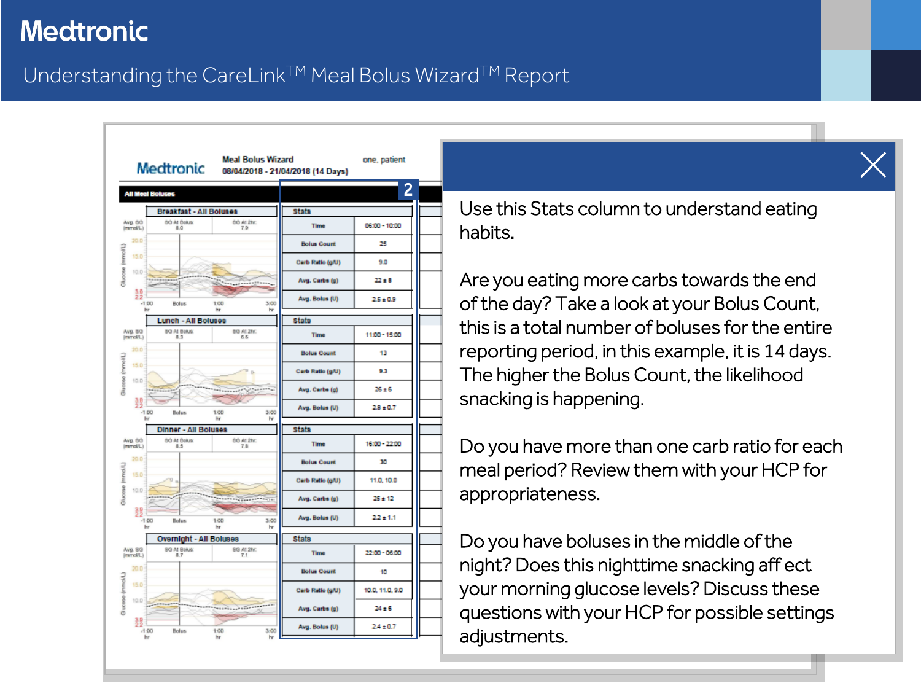## <span id="page-2-0"></span>Understanding the CareLink™ Meal Bolus Wizard™ Report



Use this Stats column to understand eating habits.

Are you eating more carbs towards the end of the day? Take a look at your Bolus Count, this is a total number of boluses for the entire reporting period, in this example, it is 14 days. The higher the Bolus Count, the likelihood snacking is happening.

Do you have more than one carb ratio for each meal period? Review them with your HCP for appropriateness.

Do you have boluses in the middle of the night? Does this nighttime snacking aff ect your morning glucose levels? Discuss these questions with your HCP for possible settings adjustments.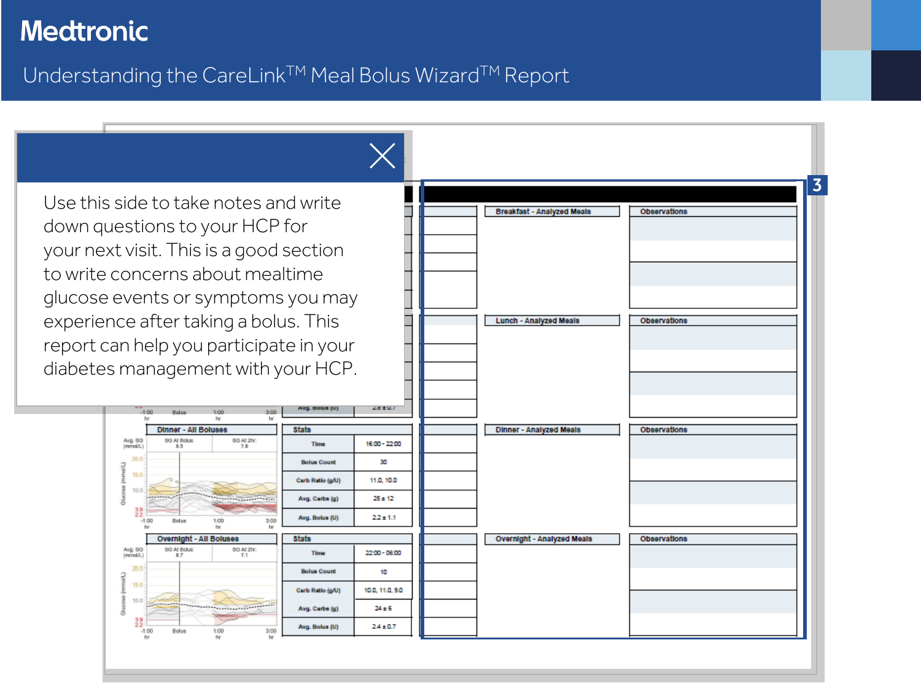### <span id="page-3-0"></span>Understanding the CareLink™ Meal Bolus Wizard™ Report

Use this side to take notes and write down questions to your HCP for your next visit. This is a good section to write concerns about mealtime glucose events or symptoms you may experience after taking a bolus. This report can help you participate in your diabetes management with your HCP.

1:00

80 At 2hr

80 At 2hr

3:00

3:00

**Dinner - All Boluses** 

8G At Bolus

**Holus** 

8G At Bolus

Bolus

**Overnight - All Boluses** 

1:00

Avg. 83<br>(mmol/L)

15.0

 $10.1$ 

Avg. 83<br>(mmd/L)

15.

10.

쾶

 $-1:00$ 

 $-1:00$